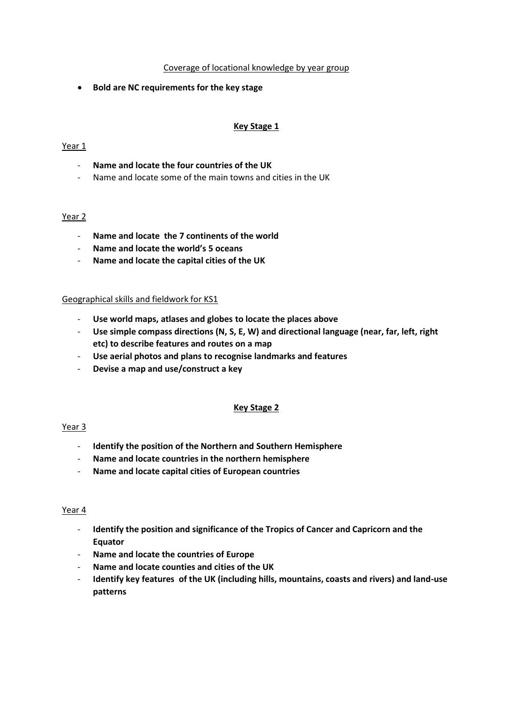### Coverage of locational knowledge by year group

**Bold are NC requirements for the key stage**

# **Key Stage 1**

# Year 1

- **Name and locate the four countries of the UK**
- Name and locate some of the main towns and cities in the UK

# Year 2

- **Name and locate the 7 continents of the world**
- **Name and locate the world's 5 oceans**
- **Name and locate the capital cities of the UK**

#### Geographical skills and fieldwork for KS1

- **Use world maps, atlases and globes to locate the places above**
- **Use simple compass directions (N, S, E, W) and directional language (near, far, left, right etc) to describe features and routes on a map**
- **Use aerial photos and plans to recognise landmarks and features**
- **Devise a map and use/construct a key**

#### **Key Stage 2**

#### Year<sub>3</sub>

- **Identify the position of the Northern and Southern Hemisphere**
- **Name and locate countries in the northern hemisphere**
- **Name and locate capital cities of European countries**

#### Year 4

- **Identify the position and significance of the Tropics of Cancer and Capricorn and the Equator**
- **Name and locate the countries of Europe**
- **Name and locate counties and cities of the UK**
- **Identify key features of the UK (including hills, mountains, coasts and rivers) and land-use patterns**